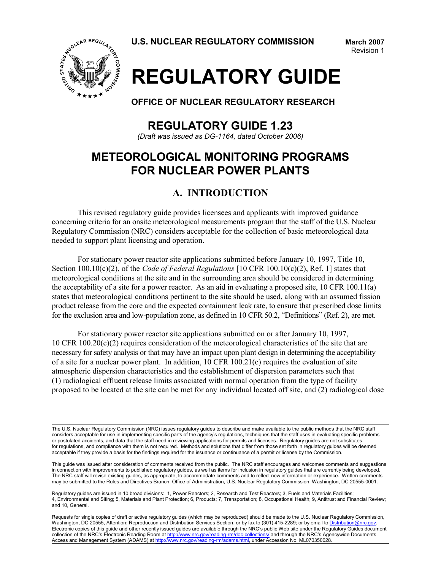

# **REGULATORY GUIDE**

**OFFICE OF NUCLEAR REGULATORY RESEARCH**

**REGULATORY GUIDE 1.23**

*(Draft was issued as DG-1164, dated October 2006)*

# **METEOROLOGICAL MONITORING PROGRAMS FOR NUCLEAR POWER PLANTS**

# **A. INTRODUCTION**

This revised regulatory guide provides licensees and applicants with improved guidance concerning criteria for an onsite meteorological measurements program that the staff of the U.S. Nuclear Regulatory Commission (NRC) considers acceptable for the collection of basic meteorological data needed to support plant licensing and operation.

For stationary power reactor site applications submitted before January 10, 1997, Title 10, Section 100.10(c)(2), of the *Code of Federal Regulations* [10 CFR 100.10(c)(2), Ref. 1] states that meteorological conditions at the site and in the surrounding area should be considered in determining the acceptability of a site for a power reactor. As an aid in evaluating a proposed site, 10 CFR 100.11(a) states that meteorological conditions pertinent to the site should be used, along with an assumed fission product release from the core and the expected containment leak rate, to ensure that prescribed dose limits for the exclusion area and low-population zone, as defined in 10 CFR 50.2, "Definitions" (Ref. 2), are met.

For stationary power reactor site applications submitted on or after January 10, 1997, 10 CFR 100.20(c)(2) requires consideration of the meteorological characteristics of the site that are necessary for safety analysis or that may have an impact upon plant design in determining the acceptability of a site for a nuclear power plant. In addition, 10 CFR 100.21(c) requires the evaluation of site atmospheric dispersion characteristics and the establishment of dispersion parameters such that (1) radiological effluent release limits associated with normal operation from the type of facility proposed to be located at the site can be met for any individual located off site, and (2) radiological dose

Requests for single copies of draft or active regulatory guides (which may be reproduced) should be made to the U.S. Nuclear Regulatory Commission, Washington, DC 20555, Attention: Reproduction and Distribution Services Section, or by fax to (301) 415-2289; or by email to Distribution@nrc.gov. Electronic copies of this guide and other recently issued guides are available through the NRC's public Web site under the Regulatory Guides document collection of the NRC's Electronic Reading Room at http://www.nrc.gov/reading-rm/doc-collections/ and through the NRC's Agencywide Documents Access and Management System (ADAMS) at http://www.nrc.gov/reading-rm/adams.html, under Accession No. ML070350028.

The U.S. Nuclear Regulatory Commission (NRC) issues regulatory guides to describe and make available to the public methods that the NRC staff considers acceptable for use in implementing specific parts of the agency's regulations, techniques that the staff uses in evaluating specific problems or postulated accidents, and data that the staff need in reviewing applications for permits and licenses. Regulatory guides are not substitutes for regulations, and compliance with them is not required. Methods and solutions that differ from those set forth in regulatory guides will be deemed acceptable if they provide a basis for the findings required for the issuance or continuance of a permit or license by the Commission.

This guide was issued after consideration of comments received from the public. The NRC staff encourages and welcomes comments and suggestions in connection with improvements to published regulatory guides, as well as items for inclusion in regulatory guides that are currently being developed. The NRC staff will revise existing guides, as appropriate, to accommodate comments and to reflect new information or experience. Written comments may be submitted to the Rules and Directives Branch, Office of Administration, U.S. Nuclear Regulatory Commission, Washington, DC 20555-0001.

Regulatory guides are issued in 10 broad divisions: 1, Power Reactors; 2, Research and Test Reactors; 3, Fuels and Materials Facilities; 4, Environmental and Siting; 5, Materials and Plant Protection; 6, Products; 7, Transportation; 8, Occupational Health; 9, Antitrust and Financial Review; and 10, General.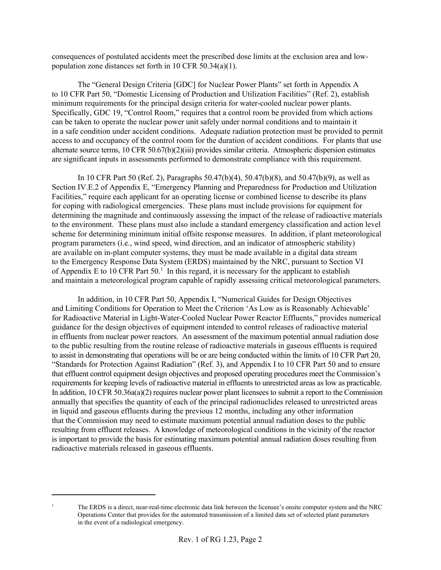consequences of postulated accidents meet the prescribed dose limits at the exclusion area and lowpopulation zone distances set forth in 10 CFR 50.34(a)(1).

The "General Design Criteria [GDC] for Nuclear Power Plants" set forth in Appendix A to 10 CFR Part 50, "Domestic Licensing of Production and Utilization Facilities" (Ref. 2), establish minimum requirements for the principal design criteria for water-cooled nuclear power plants. Specifically, GDC 19, "Control Room," requires that a control room be provided from which actions can be taken to operate the nuclear power unit safely under normal conditions and to maintain it in a safe condition under accident conditions. Adequate radiation protection must be provided to permit access to and occupancy of the control room for the duration of accident conditions. For plants that use alternate source terms, 10 CFR 50.67(b)(2)(iii) provides similar criteria. Atmospheric dispersion estimates are significant inputs in assessments performed to demonstrate compliance with this requirement.

In 10 CFR Part 50 (Ref. 2), Paragraphs 50.47(b)(4), 50.47(b)(8), and 50.47(b)(9), as well as Section IV.E.2 of Appendix E, "Emergency Planning and Preparedness for Production and Utilization Facilities," require each applicant for an operating license or combined license to describe its plans for coping with radiological emergencies. These plans must include provisions for equipment for determining the magnitude and continuously assessing the impact of the release of radioactive materials to the environment. These plans must also include a standard emergency classification and action level scheme for determining minimum initial offsite response measures. In addition, if plant meteorological program parameters (i.e., wind speed, wind direction, and an indicator of atmospheric stability) are available on in-plant computer systems, they must be made available in a digital data stream to the Emergency Response Data System (ERDS) maintained by the NRC, pursuant to Section VI of Appendix E to 10 CFR Part 50.<sup>1</sup> In this regard, it is necessary for the applicant to establish and maintain a meteorological program capable of rapidly assessing critical meteorological parameters.

In addition, in 10 CFR Part 50, Appendix I, "Numerical Guides for Design Objectives and Limiting Conditions for Operation to Meet the Criterion 'As Low as is Reasonably Achievable' for Radioactive Material in Light-Water-Cooled Nuclear Power Reactor Effluents," provides numerical guidance for the design objectives of equipment intended to control releases of radioactive material in effluents from nuclear power reactors. An assessment of the maximum potential annual radiation dose to the public resulting from the routine release of radioactive materials in gaseous effluents is required to assist in demonstrating that operations will be or are being conducted within the limits of 10 CFR Part 20, "Standards for Protection Against Radiation" (Ref. 3), and Appendix I to 10 CFR Part 50 and to ensure that effluent control equipment design objectives and proposed operating procedures meet the Commission's requirements for keeping levels of radioactive material in effluents to unrestricted areas as low as practicable. In addition, 10 CFR 50.36a(a)(2) requires nuclear power plant licensees to submit a report to the Commission annually that specifies the quantity of each of the principal radionuclides released to unrestricted areas in liquid and gaseous effluents during the previous 12 months, including any other information that the Commission may need to estimate maximum potential annual radiation doses to the public resulting from effluent releases. A knowledge of meteorological conditions in the vicinity of the reactor is important to provide the basis for estimating maximum potential annual radiation doses resulting from radioactive materials released in gaseous effluents.

<sup>1</sup> The ERDS is a direct, near-real-time electronic data link between the licensee's onsite computer system and the NRC Operations Center that provides for the automated transmission of a limited data set of selected plant parameters in the event of a radiological emergency.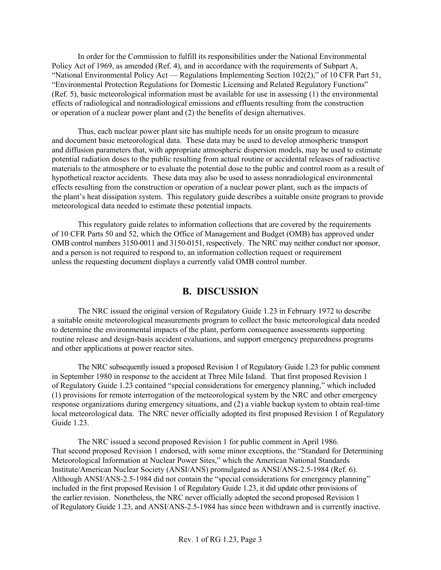In order for the Commission to fulfill its responsibilities under the National Environmental Policy Act of 1969, as amended (Ref. 4), and in accordance with the requirements of Subpart A, "National Environmental Policy Act — Regulations Implementing Section 102(2)," of 10 CFR Part 51, "Environmental Protection Regulations for Domestic Licensing and Related Regulatory Functions" (Ref. 5), basic meteorological information must be available for use in assessing (1) the environmental effects of radiological and nonradiological emissions and effluents resulting from the construction or operation of a nuclear power plant and (2) the benefits of design alternatives.

Thus, each nuclear power plant site has multiple needs for an onsite program to measure and document basic meteorological data. These data may be used to develop atmospheric transport and diffusion parameters that, with appropriate atmospheric dispersion models, may be used to estimate potential radiation doses to the public resulting from actual routine or accidental releases of radioactive materials to the atmosphere or to evaluate the potential dose to the public and control room as a result of hypothetical reactor accidents. These data may also be used to assess nonradiological environmental effects resulting from the construction or operation of a nuclear power plant, such as the impacts of the plant's heat dissipation system. This regulatory guide describes a suitable onsite program to provide meteorological data needed to estimate these potential impacts.

This regulatory guide relates to information collections that are covered by the requirements of 10 CFR Parts 50 and 52, which the Office of Management and Budget (OMB) has approved under OMB control numbers 3150-0011 and 3150-0151, respectively. The NRC may neither conduct nor sponsor, and a person is not required to respond to, an information collection request or requirement unless the requesting document displays a currently valid OMB control number.

# **B. DISCUSSION**

The NRC issued the original version of Regulatory Guide 1.23 in February 1972 to describe a suitable onsite meteorological measurements program to collect the basic meteorological data needed to determine the environmental impacts of the plant, perform consequence assessments supporting routine release and design-basis accident evaluations, and support emergency preparedness programs and other applications at power reactor sites.

The NRC subsequently issued a proposed Revision 1 of Regulatory Guide 1.23 for public comment in September 1980 in response to the accident at Three Mile Island. That first proposed Revision 1 of Regulatory Guide 1.23 contained "special considerations for emergency planning," which included (1) provisions for remote interrogation of the meteorological system by the NRC and other emergency response organizations during emergency situations, and (2) a viable backup system to obtain real-time local meteorological data. The NRC never officially adopted its first proposed Revision 1 of Regulatory Guide 1.23

The NRC issued a second proposed Revision 1 for public comment in April 1986. That second proposed Revision 1 endorsed, with some minor exceptions, the "Standard for Determining Meteorological Information at Nuclear Power Sites," which the American National Standards Institute/American Nuclear Society (ANSI/ANS) promulgated as ANSI/ANS-2.5-1984 (Ref. 6). Although ANSI/ANS-2.5-1984 did not contain the "special considerations for emergency planning" included in the first proposed Revision 1 of Regulatory Guide 1.23, it did update other provisions of the earlier revision. Nonetheless, the NRC never officially adopted the second proposed Revision 1 of Regulatory Guide 1.23, and ANSI/ANS-2.5-1984 has since been withdrawn and is currently inactive.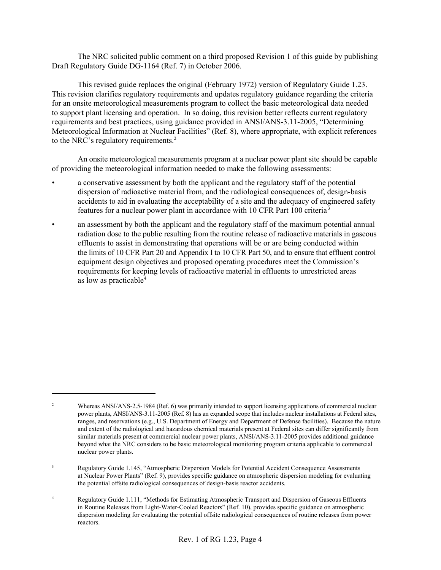The NRC solicited public comment on a third proposed Revision 1 of this guide by publishing Draft Regulatory Guide DG-1164 (Ref. 7) in October 2006.

This revised guide replaces the original (February 1972) version of Regulatory Guide 1.23. This revision clarifies regulatory requirements and updates regulatory guidance regarding the criteria for an onsite meteorological measurements program to collect the basic meteorological data needed to support plant licensing and operation. In so doing, this revision better reflects current regulatory requirements and best practices, using guidance provided in ANSI/ANS-3.11-2005, "Determining Meteorological Information at Nuclear Facilities" (Ref. 8), where appropriate, with explicit references to the NRC's regulatory requirements.<sup>2</sup>

An onsite meteorological measurements program at a nuclear power plant site should be capable of providing the meteorological information needed to make the following assessments:

- a conservative assessment by both the applicant and the regulatory staff of the potential dispersion of radioactive material from, and the radiological consequences of, design-basis accidents to aid in evaluating the acceptability of a site and the adequacy of engineered safety features for a nuclear power plant in accordance with 10 CFR Part 100 criteria <sup>3</sup>
- an assessment by both the applicant and the regulatory staff of the maximum potential annual radiation dose to the public resulting from the routine release of radioactive materials in gaseous effluents to assist in demonstrating that operations will be or are being conducted within the limits of 10 CFR Part 20 and Appendix I to 10 CFR Part 50, and to ensure that effluent control equipment design objectives and proposed operating procedures meet the Commission's requirements for keeping levels of radioactive material in effluents to unrestricted areas as low as practicable<sup>4</sup>

<sup>&</sup>lt;sup>2</sup> Whereas ANSI/ANS-2.5-1984 (Ref. 6) was primarily intended to support licensing applications of commercial nuclear power plants, ANSI/ANS-3.11-2005 (Ref. 8) has an expanded scope that includes nuclear installations at Federal sites, ranges, and reservations (e.g., U.S. Department of Energy and Department of Defense facilities). Because the nature and extent of the radiological and hazardous chemical materials present at Federal sites can differ significantly from similar materials present at commercial nuclear power plants, ANSI/ANS-3.11-2005 provides additional guidance beyond what the NRC considers to be basic meteorological monitoring program criteria applicable to commercial nuclear power plants.

<sup>&</sup>lt;sup>3</sup> Regulatory Guide 1.145, "Atmospheric Dispersion Models for Potential Accident Consequence Assessments at Nuclear Power Plants" (Ref. 9), provides specific guidance on atmospheric dispersion modeling for evaluating the potential offsite radiological consequences of design-basis reactor accidents.

<sup>&</sup>lt;sup>4</sup> Regulatory Guide 1.111, "Methods for Estimating Atmospheric Transport and Dispersion of Gaseous Effluents in Routine Releases from Light-Water-Cooled Reactors" (Ref. 10), provides specific guidance on atmospheric dispersion modeling for evaluating the potential offsite radiological consequences of routine releases from power reactors.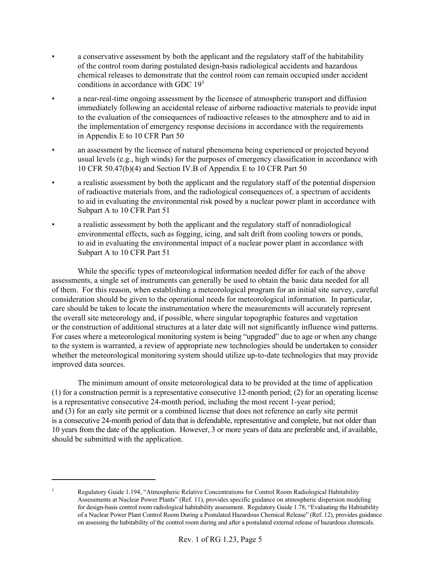- a conservative assessment by both the applicant and the regulatory staff of the habitability of the control room during postulated design-basis radiological accidents and hazardous chemical releases to demonstrate that the control room can remain occupied under accident conditions in accordance with GDC 195
- a near-real-time ongoing assessment by the licensee of atmospheric transport and diffusion immediately following an accidental release of airborne radioactive materials to provide input to the evaluation of the consequences of radioactive releases to the atmosphere and to aid in the implementation of emergency response decisions in accordance with the requirements in Appendix E to 10 CFR Part 50
- an assessment by the licensee of natural phenomena being experienced or projected beyond usual levels (e.g., high winds) for the purposes of emergency classification in accordance with 10 CFR 50.47(b)(4) and Section IV.B of Appendix E to 10 CFR Part 50
- a realistic assessment by both the applicant and the regulatory staff of the potential dispersion of radioactive materials from, and the radiological consequences of, a spectrum of accidents to aid in evaluating the environmental risk posed by a nuclear power plant in accordance with Subpart A to 10 CFR Part 51
- a realistic assessment by both the applicant and the regulatory staff of nonradiological environmental effects, such as fogging, icing, and salt drift from cooling towers or ponds, to aid in evaluating the environmental impact of a nuclear power plant in accordance with Subpart A to 10 CFR Part 51

While the specific types of meteorological information needed differ for each of the above assessments, a single set of instruments can generally be used to obtain the basic data needed for all of them. For this reason, when establishing a meteorological program for an initial site survey, careful consideration should be given to the operational needs for meteorological information. In particular, care should be taken to locate the instrumentation where the measurements will accurately represent the overall site meteorology and, if possible, where singular topographic features and vegetation or the construction of additional structures at a later date will not significantly influence wind patterns. For cases where a meteorological monitoring system is being "upgraded" due to age or when any change to the system is warranted, a review of appropriate new technologies should be undertaken to consider whether the meteorological monitoring system should utilize up-to-date technologies that may provide improved data sources.

The minimum amount of onsite meteorological data to be provided at the time of application (1) for a construction permit is a representative consecutive 12-month period; (2) for an operating license is a representative consecutive 24-month period, including the most recent 1-year period; and (3) for an early site permit or a combined license that does not reference an early site permit is a consecutive 24-month period of data that is defendable, representative and complete, but not older than 10 years from the date of the application. However, 3 or more years of data are preferable and, if available, should be submitted with the application.

<sup>5</sup> Regulatory Guide 1.194, "Atmospheric Relative Concentrations for Control Room Radiological Habitability Assessments at Nuclear Power Plants" (Ref. 11), provides specific guidance on atmospheric dispersion modeling for design-basis control room radiological habitability assessment. Regulatory Guide 1.78, "Evaluating the Habitability of a Nuclear Power Plant Control Room During a Postulated Hazardous Chemical Release" (Ref. 12), provides guidance on assessing the habitability of the control room during and after a postulated external release of hazardous chemicals.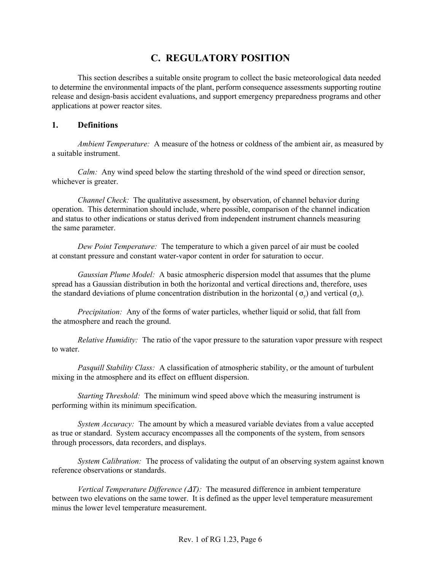# **C. REGULATORY POSITION**

This section describes a suitable onsite program to collect the basic meteorological data needed to determine the environmental impacts of the plant, perform consequence assessments supporting routine release and design-basis accident evaluations, and support emergency preparedness programs and other applications at power reactor sites.

#### **1. Definitions**

*Ambient Temperature:* A measure of the hotness or coldness of the ambient air, as measured by a suitable instrument.

*Calm:* Any wind speed below the starting threshold of the wind speed or direction sensor, whichever is greater.

*Channel Check:* The qualitative assessment, by observation, of channel behavior during operation. This determination should include, where possible, comparison of the channel indication and status to other indications or status derived from independent instrument channels measuring the same parameter.

*Dew Point Temperature:* The temperature to which a given parcel of air must be cooled at constant pressure and constant water-vapor content in order for saturation to occur.

*Gaussian Plume Model:* A basic atmospheric dispersion model that assumes that the plume spread has a Gaussian distribution in both the horizontal and vertical directions and, therefore, uses the standard deviations of plume concentration distribution in the horizontal ( $\sigma_y$ ) and vertical ( $\sigma_z$ ).

*Precipitation:* Any of the forms of water particles, whether liquid or solid, that fall from the atmosphere and reach the ground.

*Relative Humidity:* The ratio of the vapor pressure to the saturation vapor pressure with respect to water.

*Pasquill Stability Class:* A classification of atmospheric stability, or the amount of turbulent mixing in the atmosphere and its effect on effluent dispersion.

*Starting Threshold:* The minimum wind speed above which the measuring instrument is performing within its minimum specification.

*System Accuracy:* The amount by which a measured variable deviates from a value accepted as true or standard. System accuracy encompasses all the components of the system, from sensors through processors, data recorders, and displays.

*System Calibration:* The process of validating the output of an observing system against known reference observations or standards.

*Vertical Temperature Difference*  $(\Delta T)$ : The measured difference in ambient temperature between two elevations on the same tower. It is defined as the upper level temperature measurement minus the lower level temperature measurement.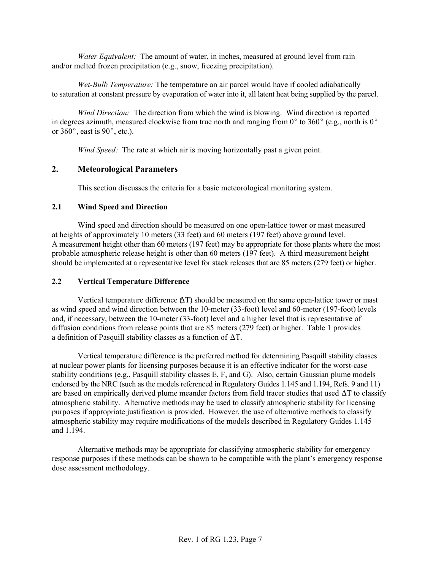*Water Equivalent:* The amount of water, in inches, measured at ground level from rain and/or melted frozen precipitation (e.g., snow, freezing precipitation).

*Wet-Bulb Temperature:* The temperature an air parcel would have if cooled adiabatically to saturation at constant pressure by evaporation of water into it, all latent heat being supplied by the parcel.

*Wind Direction:* The direction from which the wind is blowing. Wind direction is reported in degrees azimuth, measured clockwise from true north and ranging from  $0^{\circ}$  to 360° (e.g., north is  $0^{\circ}$ ) or  $360^\circ$ , east is  $90^\circ$ , etc.).

*Wind Speed:* The rate at which air is moving horizontally past a given point.

### **2. Meteorological Parameters**

This section discusses the criteria for a basic meteorological monitoring system.

#### **2.1 Wind Speed and Direction**

Wind speed and direction should be measured on one open-lattice tower or mast measured at heights of approximately 10 meters (33 feet) and 60 meters (197 feet) above ground level. A measurement height other than 60 meters (197 feet) may be appropriate for those plants where the most probable atmospheric release height is other than 60 meters (197 feet). A third measurement height should be implemented at a representative level for stack releases that are 85 meters (279 feet) or higher.

### **2.2 Vertical Temperature Difference**

Vertical temperature difference  $(\Delta T)$  should be measured on the same open-lattice tower or mast as wind speed and wind direction between the 10-meter (33-foot) level and 60-meter (197-foot) levels and, if necessary, between the 10-meter (33-foot) level and a higher level that is representative of diffusion conditions from release points that are 85 meters (279 feet) or higher. Table 1 provides a definition of Pasquill stability classes as a function of  $\Delta T$ .

Vertical temperature difference is the preferred method for determining Pasquill stability classes at nuclear power plants for licensing purposes because it is an effective indicator for the worst-case stability conditions (e.g., Pasquill stability classes E, F, and G). Also, certain Gaussian plume models endorsed by the NRC (such as the models referenced in Regulatory Guides 1.145 and 1.194, Refs. 9 and 11) are based on empirically derived plume meander factors from field tracer studies that used  $\Delta T$  to classify atmospheric stability. Alternative methods may be used to classify atmospheric stability for licensing purposes if appropriate justification is provided. However, the use of alternative methods to classify atmospheric stability may require modifications of the models described in Regulatory Guides 1.145 and 1.194.

Alternative methods may be appropriate for classifying atmospheric stability for emergency response purposes if these methods can be shown to be compatible with the plant's emergency response dose assessment methodology.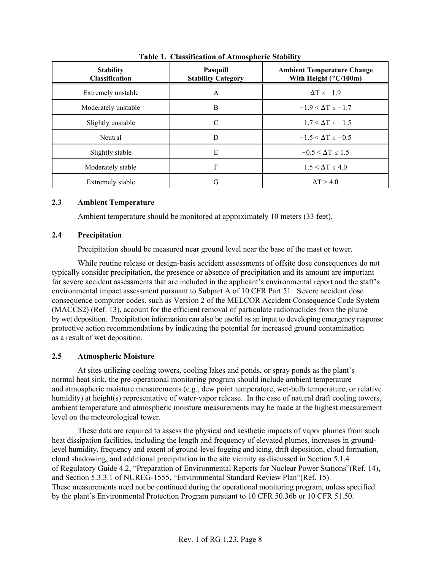| <b>Stability</b><br><b>Classification</b> | <b>Pasquill</b><br><b>Stability Category</b> | <b>Ambient Temperature Change</b><br>With Height (°C/100m) |
|-------------------------------------------|----------------------------------------------|------------------------------------------------------------|
| Extremely unstable                        | A                                            | $\Delta T < -1.9$                                          |
| Moderately unstable                       | B                                            | $-1.9 < \Delta T < -1.7$                                   |
| Slightly unstable                         | $\mathcal{C}$                                | $-1.7 < \Delta T < -1.5$                                   |
| Neutral                                   | D                                            | $-1.5 < \Delta T < -0.5$                                   |
| Slightly stable                           | Ε                                            | $-0.5 < \Delta T < 1.5$                                    |
| Moderately stable                         | F                                            | $1.5 < \Delta T < 4.0$                                     |
| <b>Extremely stable</b>                   | G                                            | $\Delta T > 4.0$                                           |

**Table 1. Classification of Atmospheric Stability**

#### **2.3 Ambient Temperature**

Ambient temperature should be monitored at approximately 10 meters (33 feet).

#### **2.4 Precipitation**

Precipitation should be measured near ground level near the base of the mast or tower.

While routine release or design-basis accident assessments of offsite dose consequences do not typically consider precipitation, the presence or absence of precipitation and its amount are important for severe accident assessments that are included in the applicant's environmental report and the staff's environmental impact assessment pursuant to Subpart A of 10 CFR Part 51. Severe accident dose consequence computer codes, such as Version 2 of the MELCOR Accident Consequence Code System (MACCS2) (Ref. 13), account for the efficient removal of particulate radionuclides from the plume by wet deposition. Precipitation information can also be useful as an input to developing emergency response protective action recommendations by indicating the potential for increased ground contamination as a result of wet deposition.

### **2.5 Atmospheric Moisture**

At sites utilizing cooling towers, cooling lakes and ponds, or spray ponds as the plant's normal heat sink, the pre-operational monitoring program should include ambient temperature and atmospheric moisture measurements (e.g., dew point temperature, wet-bulb temperature, or relative humidity) at height(s) representative of water-vapor release. In the case of natural draft cooling towers, ambient temperature and atmospheric moisture measurements may be made at the highest measurement level on the meteorological tower.

These data are required to assess the physical and aesthetic impacts of vapor plumes from such heat dissipation facilities, including the length and frequency of elevated plumes, increases in groundlevel humidity, frequency and extent of ground-level fogging and icing, drift deposition, cloud formation, cloud shadowing, and additional precipitation in the site vicinity as discussed in Section 5.1.4 of Regulatory Guide 4.2, "Preparation of Environmental Reports for Nuclear Power Stations"(Ref. 14), and Section 5.3.3.1 of NUREG-1555, "Environmental Standard Review Plan"(Ref. 15). These measurements need not be continued during the operational monitoring program, unless specified by the plant's Environmental Protection Program pursuant to 10 CFR 50.36b or 10 CFR 51.50.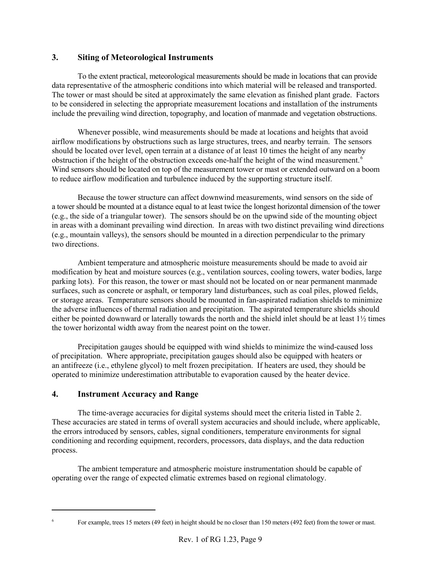# **3. Siting of Meteorological Instruments**

To the extent practical, meteorological measurements should be made in locations that can provide data representative of the atmospheric conditions into which material will be released and transported. The tower or mast should be sited at approximately the same elevation as finished plant grade. Factors to be considered in selecting the appropriate measurement locations and installation of the instruments include the prevailing wind direction, topography, and location of manmade and vegetation obstructions.

Whenever possible, wind measurements should be made at locations and heights that avoid airflow modifications by obstructions such as large structures, trees, and nearby terrain. The sensors should be located over level, open terrain at a distance of at least 10 times the height of any nearby obstruction if the height of the obstruction exceeds one-half the height of the wind measurement.<sup>6</sup> Wind sensors should be located on top of the measurement tower or mast or extended outward on a boom to reduce airflow modification and turbulence induced by the supporting structure itself.

Because the tower structure can affect downwind measurements, wind sensors on the side of a tower should be mounted at a distance equal to at least twice the longest horizontal dimension of the tower (e.g., the side of a triangular tower). The sensors should be on the upwind side of the mounting object in areas with a dominant prevailing wind direction. In areas with two distinct prevailing wind directions (e.g., mountain valleys), the sensors should be mounted in a direction perpendicular to the primary two directions.

Ambient temperature and atmospheric moisture measurements should be made to avoid air modification by heat and moisture sources (e.g., ventilation sources, cooling towers, water bodies, large parking lots). For this reason, the tower or mast should not be located on or near permanent manmade surfaces, such as concrete or asphalt, or temporary land disturbances, such as coal piles, plowed fields, or storage areas. Temperature sensors should be mounted in fan-aspirated radiation shields to minimize the adverse influences of thermal radiation and precipitation. The aspirated temperature shields should either be pointed downward or laterally towards the north and the shield inlet should be at least  $1\frac{1}{2}$  times the tower horizontal width away from the nearest point on the tower.

Precipitation gauges should be equipped with wind shields to minimize the wind-caused loss of precipitation. Where appropriate, precipitation gauges should also be equipped with heaters or an antifreeze (i.e., ethylene glycol) to melt frozen precipitation. If heaters are used, they should be operated to minimize underestimation attributable to evaporation caused by the heater device.

# **4. Instrument Accuracy and Range**

The time-average accuracies for digital systems should meet the criteria listed in Table 2. These accuracies are stated in terms of overall system accuracies and should include, where applicable, the errors introduced by sensors, cables, signal conditioners, temperature environments for signal conditioning and recording equipment, recorders, processors, data displays, and the data reduction process.

The ambient temperature and atmospheric moisture instrumentation should be capable of operating over the range of expected climatic extremes based on regional climatology.

<sup>6</sup> For example, trees 15 meters (49 feet) in height should be no closer than 150 meters (492 feet) from the tower or mast.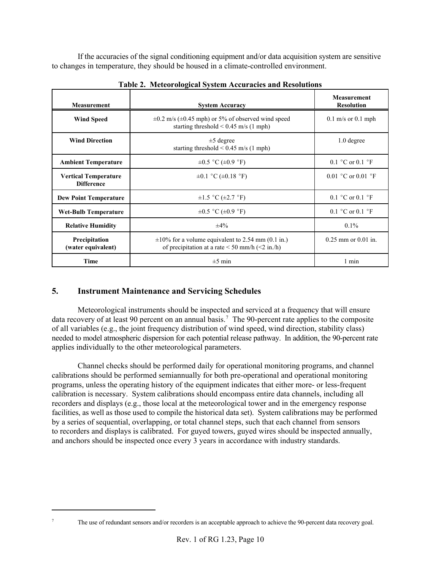If the accuracies of the signal conditioning equipment and/or data acquisition system are sensitive to changes in temperature, they should be housed in a climate-controlled environment.

| <b>Measurement</b>                               | <b>System Accuracy</b>                                                                                                 | <b>Measurement</b><br><b>Resolution</b> |
|--------------------------------------------------|------------------------------------------------------------------------------------------------------------------------|-----------------------------------------|
| <b>Wind Speed</b>                                | $\pm 0.2$ m/s ( $\pm 0.45$ mph) or 5% of observed wind speed<br>starting threshold $< 0.45$ m/s (1 mph)                | $0.1$ m/s or $0.1$ mph                  |
| <b>Wind Direction</b>                            | $\pm$ 5 degree<br>starting threshold $< 0.45$ m/s (1 mph)                                                              | $1.0$ degree                            |
| <b>Ambient Temperature</b>                       | $\pm 0.5$ °C ( $\pm 0.9$ °F)                                                                                           | 0.1 $^{\circ}$ C or 0.1 $^{\circ}$ F    |
| <b>Vertical Temperature</b><br><b>Difference</b> | $\pm 0.1$ °C ( $\pm 0.18$ °F)                                                                                          | 0.01 °C or 0.01 °F                      |
| <b>Dew Point Temperature</b>                     | $\pm 1.5$ °C ( $\pm 2.7$ °F)                                                                                           | 0.1 $^{\circ}$ C or 0.1 $^{\circ}$ F    |
| <b>Wet-Bulb Temperature</b>                      | $\pm 0.5$ °C ( $\pm 0.9$ °F)                                                                                           | 0.1 $^{\circ}$ C or 0.1 $^{\circ}$ F    |
| <b>Relative Humidity</b>                         | $\pm 4\%$                                                                                                              | $0.1\%$                                 |
| Precipitation<br>(water equivalent)              | $\pm 10\%$ for a volume equivalent to 2.54 mm (0.1 in.)<br>of precipitation at a rate $\leq 50$ mm/h ( $\leq 2$ in./h) | $0.25$ mm or $0.01$ in.                 |
| Time                                             | $\pm 5$ min                                                                                                            | 1 min                                   |

**Table 2. Meteorological System Accuracies and Resolutions**

# **5. Instrument Maintenance and Servicing Schedules**

Meteorological instruments should be inspected and serviced at a frequency that will ensure data recovery of at least 90 percent on an annual basis.<sup>7</sup> The 90-percent rate applies to the composite of all variables (e.g., the joint frequency distribution of wind speed, wind direction, stability class) needed to model atmospheric dispersion for each potential release pathway. In addition, the 90-percent rate applies individually to the other meteorological parameters.

Channel checks should be performed daily for operational monitoring programs, and channel calibrations should be performed semiannually for both pre-operational and operational monitoring programs, unless the operating history of the equipment indicates that either more- or less-frequent calibration is necessary. System calibrations should encompass entire data channels, including all recorders and displays (e.g., those local at the meteorological tower and in the emergency response facilities, as well as those used to compile the historical data set). System calibrations may be performed by a series of sequential, overlapping, or total channel steps, such that each channel from sensors to recorders and displays is calibrated. For guyed towers, guyed wires should be inspected annually, and anchors should be inspected once every 3 years in accordance with industry standards.

<sup>7</sup> The use of redundant sensors and/or recorders is an acceptable approach to achieve the 90-percent data recovery goal.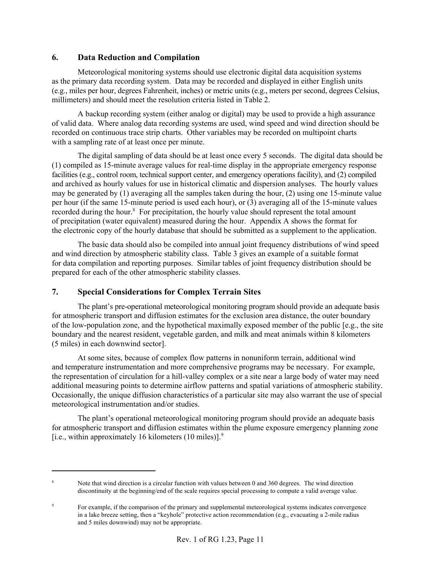## **6. Data Reduction and Compilation**

Meteorological monitoring systems should use electronic digital data acquisition systems as the primary data recording system. Data may be recorded and displayed in either English units (e.g., miles per hour, degrees Fahrenheit, inches) or metric units (e.g., meters per second, degrees Celsius, millimeters) and should meet the resolution criteria listed in Table 2.

A backup recording system (either analog or digital) may be used to provide a high assurance of valid data. Where analog data recording systems are used, wind speed and wind direction should be recorded on continuous trace strip charts. Other variables may be recorded on multipoint charts with a sampling rate of at least once per minute.

The digital sampling of data should be at least once every 5 seconds. The digital data should be (1) compiled as 15-minute average values for real-time display in the appropriate emergency response facilities (e.g., control room, technical support center, and emergency operations facility), and (2) compiled and archived as hourly values for use in historical climatic and dispersion analyses. The hourly values may be generated by (1) averaging all the samples taken during the hour, (2) using one 15-minute value per hour (if the same 15-minute period is used each hour), or (3) averaging all of the 15-minute values recorded during the hour.<sup>8</sup> For precipitation, the hourly value should represent the total amount of precipitation (water equivalent) measured during the hour. Appendix A shows the format for the electronic copy of the hourly database that should be submitted as a supplement to the application.

The basic data should also be compiled into annual joint frequency distributions of wind speed and wind direction by atmospheric stability class. Table 3 gives an example of a suitable format for data compilation and reporting purposes. Similar tables of joint frequency distribution should be prepared for each of the other atmospheric stability classes.

# **7. Special Considerations for Complex Terrain Sites**

The plant's pre-operational meteorological monitoring program should provide an adequate basis for atmospheric transport and diffusion estimates for the exclusion area distance, the outer boundary of the low-population zone, and the hypothetical maximally exposed member of the public [e.g., the site boundary and the nearest resident, vegetable garden, and milk and meat animals within 8 kilometers (5 miles) in each downwind sector].

At some sites, because of complex flow patterns in nonuniform terrain, additional wind and temperature instrumentation and more comprehensive programs may be necessary. For example, the representation of circulation for a hill-valley complex or a site near a large body of water may need additional measuring points to determine airflow patterns and spatial variations of atmospheric stability. Occasionally, the unique diffusion characteristics of a particular site may also warrant the use of special meteorological instrumentation and/or studies.

The plant's operational meteorological monitoring program should provide an adequate basis for atmospheric transport and diffusion estimates within the plume exposure emergency planning zone [i.e., within approximately 16 kilometers  $(10 \text{ miles})$ ].<sup>9</sup>

Note that wind direction is a circular function with values between 0 and 360 degrees. The wind direction discontinuity at the beginning/end of the scale requires special processing to compute a valid average value.

<sup>9</sup> For example, if the comparison of the primary and supplemental meteorological systems indicates convergence in a lake breeze setting, then a "keyhole" protective action recommendation (e.g., evacuating a 2-mile radius and 5 miles downwind) may not be appropriate.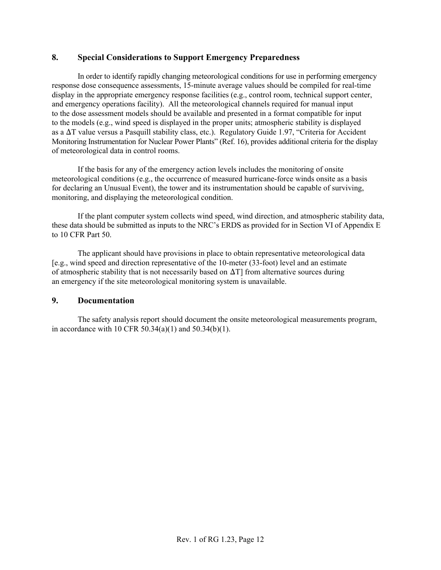#### **8. Special Considerations to Support Emergency Preparedness**

In order to identify rapidly changing meteorological conditions for use in performing emergency response dose consequence assessments, 15-minute average values should be compiled for real-time display in the appropriate emergency response facilities (e.g., control room, technical support center, and emergency operations facility). All the meteorological channels required for manual input to the dose assessment models should be available and presented in a format compatible for input to the models (e.g., wind speed is displayed in the proper units; atmospheric stability is displayed as a  $\Delta T$  value versus a Pasquill stability class, etc.). Regulatory Guide 1.97, "Criteria for Accident Monitoring Instrumentation for Nuclear Power Plants" (Ref. 16), provides additional criteria for the display of meteorological data in control rooms.

If the basis for any of the emergency action levels includes the monitoring of onsite meteorological conditions (e.g., the occurrence of measured hurricane-force winds onsite as a basis for declaring an Unusual Event), the tower and its instrumentation should be capable of surviving, monitoring, and displaying the meteorological condition.

If the plant computer system collects wind speed, wind direction, and atmospheric stability data, these data should be submitted as inputs to the NRC's ERDS as provided for in Section VI of Appendix E to 10 CFR Part 50.

The applicant should have provisions in place to obtain representative meteorological data [e.g., wind speed and direction representative of the 10-meter (33-foot) level and an estimate of atmospheric stability that is not necessarily based on  $\Delta T$ ] from alternative sources during an emergency if the site meteorological monitoring system is unavailable.

#### **9. Documentation**

The safety analysis report should document the onsite meteorological measurements program, in accordance with 10 CFR  $50.34(a)(1)$  and  $50.34(b)(1)$ .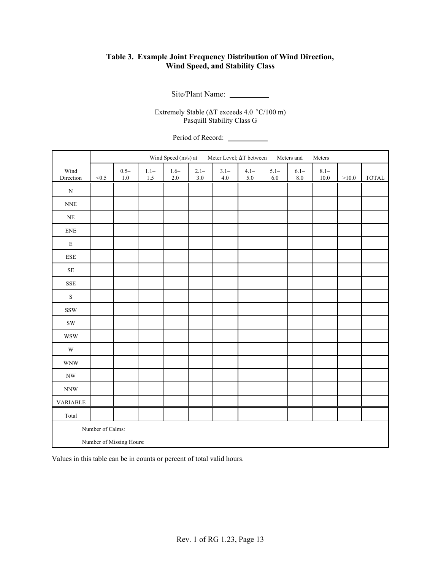### **Table 3. Example Joint Frequency Distribution of Wind Direction, Wind Speed, and Stability Class**

Site/Plant Name:

Extremely Stable ( $\Delta T$  exceeds 4.0 °C/100 m) Pasquill Stability Class G

Period of Record:

|                           | Wind Speed (m/s) at __ Meter Level; ΔT between __ Meters and __ Meters |                    |                  |               |                    |                    |                    |                    |                    |                     |         |       |
|---------------------------|------------------------------------------------------------------------|--------------------|------------------|---------------|--------------------|--------------------|--------------------|--------------------|--------------------|---------------------|---------|-------|
| Wind<br>Direction         | < 0.5                                                                  | $0.5 -$<br>$1.0\,$ | $1.1 -$<br>$1.5$ | $1.6-$<br>2.0 | $2.1 -$<br>$3.0\,$ | $3.1 -$<br>$4.0\,$ | $4.1 -$<br>$5.0\,$ | $5.1 -$<br>$6.0\,$ | $6.1 -$<br>$8.0\,$ | $8.1 -$<br>$10.0\,$ | $>10.0$ | TOTAL |
| ${\bf N}$                 |                                                                        |                    |                  |               |                    |                    |                    |                    |                    |                     |         |       |
| $\ensuremath{\text{NNE}}$ |                                                                        |                    |                  |               |                    |                    |                    |                    |                    |                     |         |       |
| $\rm NE$                  |                                                                        |                    |                  |               |                    |                    |                    |                    |                    |                     |         |       |
| <b>ENE</b>                |                                                                        |                    |                  |               |                    |                    |                    |                    |                    |                     |         |       |
| ${\bf E}$                 |                                                                        |                    |                  |               |                    |                    |                    |                    |                    |                     |         |       |
| ${\rm ESE}$               |                                                                        |                    |                  |               |                    |                    |                    |                    |                    |                     |         |       |
| $\rm SE$                  |                                                                        |                    |                  |               |                    |                    |                    |                    |                    |                     |         |       |
| <b>SSE</b>                |                                                                        |                    |                  |               |                    |                    |                    |                    |                    |                     |         |       |
| $\mathbf S$               |                                                                        |                    |                  |               |                    |                    |                    |                    |                    |                     |         |       |
| $\operatorname{SSW}$      |                                                                        |                    |                  |               |                    |                    |                    |                    |                    |                     |         |       |
| $\mathrm{SW}$             |                                                                        |                    |                  |               |                    |                    |                    |                    |                    |                     |         |       |
| <b>WSW</b>                |                                                                        |                    |                  |               |                    |                    |                    |                    |                    |                     |         |       |
| $\mathbf W$               |                                                                        |                    |                  |               |                    |                    |                    |                    |                    |                     |         |       |
| <b>WNW</b>                |                                                                        |                    |                  |               |                    |                    |                    |                    |                    |                     |         |       |
| $\mathbf{N}\mathbf{W}$    |                                                                        |                    |                  |               |                    |                    |                    |                    |                    |                     |         |       |
| $\textit{NNW}$            |                                                                        |                    |                  |               |                    |                    |                    |                    |                    |                     |         |       |
| <b>VARIABLE</b>           |                                                                        |                    |                  |               |                    |                    |                    |                    |                    |                     |         |       |
| Total                     |                                                                        |                    |                  |               |                    |                    |                    |                    |                    |                     |         |       |
| Number of Calms:          |                                                                        |                    |                  |               |                    |                    |                    |                    |                    |                     |         |       |
| Number of Missing Hours:  |                                                                        |                    |                  |               |                    |                    |                    |                    |                    |                     |         |       |

Values in this table can be in counts or percent of total valid hours.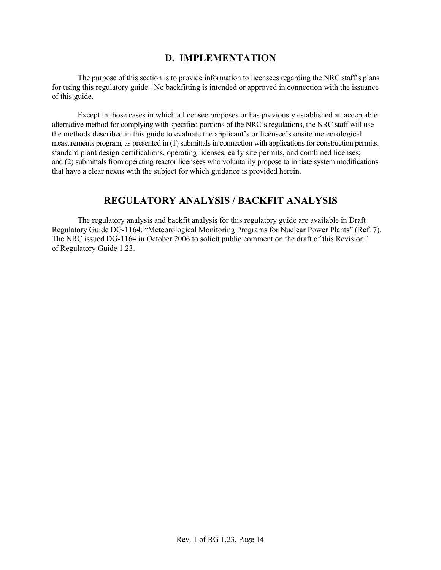# **D. IMPLEMENTATION**

The purpose of this section is to provide information to licensees regarding the NRC staff's plans for using this regulatory guide. No backfitting is intended or approved in connection with the issuance of this guide.

Except in those cases in which a licensee proposes or has previously established an acceptable alternative method for complying with specified portions of the NRC's regulations, the NRC staff will use the methods described in this guide to evaluate the applicant's or licensee's onsite meteorological measurements program, as presented in (1) submittals in connection with applications for construction permits, standard plant design certifications, operating licenses, early site permits, and combined licenses; and (2) submittals from operating reactor licensees who voluntarily propose to initiate system modifications that have a clear nexus with the subject for which guidance is provided herein.

# **REGULATORY ANALYSIS / BACKFIT ANALYSIS**

The regulatory analysis and backfit analysis for this regulatory guide are available in Draft Regulatory Guide DG-1164, "Meteorological Monitoring Programs for Nuclear Power Plants" (Ref. 7). The NRC issued DG-1164 in October 2006 to solicit public comment on the draft of this Revision 1 of Regulatory Guide 1.23.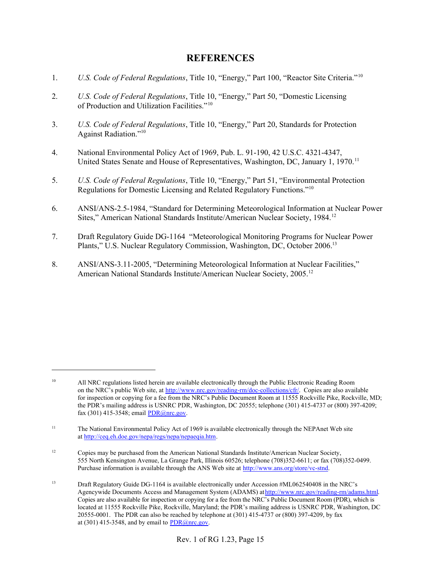# **REFERENCES**

- 1. *U.S. Code of Federal Regulations*, Title 10, "Energy," Part 100, "Reactor Site Criteria."10
- 2. *U.S. Code of Federal Regulations*, Title 10, "Energy," Part 50, "Domestic Licensing of Production and Utilization Facilities."10
- 3. *U.S. Code of Federal Regulations*, Title 10, "Energy," Part 20, Standards for Protection Against Radiation."10
- 4. National Environmental Policy Act of 1969, Pub. L. 91-190, 42 U.S.C. 4321-4347, United States Senate and House of Representatives, Washington, DC, January 1, 1970.<sup>11</sup>
- 5. *U.S. Code of Federal Regulations*, Title 10, "Energy," Part 51, "Environmental Protection Regulations for Domestic Licensing and Related Regulatory Functions."10
- 6. ANSI/ANS-2.5-1984, "Standard for Determining Meteorological Information at Nuclear Power Sites," American National Standards Institute/American Nuclear Society, 1984.12
- 7. Draft Regulatory Guide DG-1164 "Meteorological Monitoring Programs for Nuclear Power Plants," U.S. Nuclear Regulatory Commission, Washington, DC, October 2006.13
- 8. ANSI/ANS-3.11-2005, "Determining Meteorological Information at Nuclear Facilities," American National Standards Institute/American Nuclear Society, 2005.12

<sup>&</sup>lt;sup>10</sup> All NRC regulations listed herein are available electronically through the Public Electronic Reading Room on the NRC's public Web site, at http://www.nrc.gov/reading-rm/doc-collections/cfr/. Copies are also available for inspection or copying for a fee from the NRC's Public Document Room at 11555 Rockville Pike, Rockville, MD; the PDR's mailing address is USNRC PDR, Washington, DC 20555; telephone (301) 415-4737 or (800) 397-4209; fax (301) 415-3548; email PDR@nrc.gov.

<sup>&</sup>lt;sup>11</sup> The National Environmental Policy Act of 1969 is available electronically through the NEPAnet Web site at http://ceq.eh.doe.gov/nepa/regs/nepa/nepaeqia.htm.

<sup>&</sup>lt;sup>12</sup> Copies may be purchased from the American National Standards Institute/American Nuclear Society, 555 North Kensington Avenue, La Grange Park, Illinois 60526; telephone (708)352-6611; or fax (708)352-0499. Purchase information is available through the ANS Web site at http://www.ans.org/store/vc-stnd.

<sup>&</sup>lt;sup>13</sup> Draft Regulatory Guide DG-1164 is available electronically under Accession #ML062540408 in the NRC's Agencywide Documents Access and Management System (ADAMS) at http://www.nrc.gov/reading-rm/adams.html. Copies are also available for inspection or copying for a fee from the NRC's Public Document Room (PDR), which is located at 11555 Rockville Pike, Rockville, Maryland; the PDR's mailing address is USNRC PDR, Washington, DC 20555-0001. The PDR can also be reached by telephone at (301) 415-4737 or (800) 397-4209, by fax at (301) 415-3548, and by email to  $PDR@nrc.gov$ .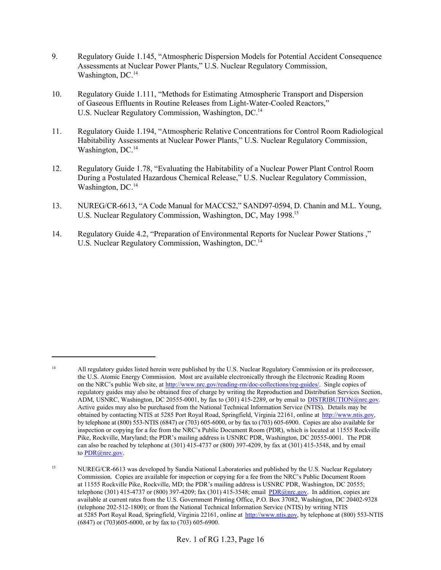- 9. Regulatory Guide 1.145, "Atmospheric Dispersion Models for Potential Accident Consequence Assessments at Nuclear Power Plants," U.S. Nuclear Regulatory Commission, Washington, DC.<sup>14</sup>
- 10. Regulatory Guide 1.111, "Methods for Estimating Atmospheric Transport and Dispersion of Gaseous Effluents in Routine Releases from Light-Water-Cooled Reactors," U.S. Nuclear Regulatory Commission, Washington, DC.<sup>14</sup>
- 11. Regulatory Guide 1.194, "Atmospheric Relative Concentrations for Control Room Radiological Habitability Assessments at Nuclear Power Plants," U.S. Nuclear Regulatory Commission, Washington, DC.<sup>14</sup>
- 12. Regulatory Guide 1.78, "Evaluating the Habitability of a Nuclear Power Plant Control Room During a Postulated Hazardous Chemical Release," U.S. Nuclear Regulatory Commission, Washington, DC.<sup>14</sup>
- 13. NUREG/CR-6613, "A Code Manual for MACCS2," SAND97-0594, D. Chanin and M.L. Young, U.S. Nuclear Regulatory Commission, Washington, DC, May 1998.15
- 14. Regulatory Guide 4.2, "Preparation of Environmental Reports for Nuclear Power Stations ," U.S. Nuclear Regulatory Commission, Washington, DC.<sup>14</sup>

<sup>&</sup>lt;sup>14</sup> All regulatory guides listed herein were published by the U.S. Nuclear Regulatory Commission or its predecessor, the U.S. Atomic Energy Commission. Most are available electronically through the Electronic Reading Room on the NRC's public Web site, at http://www.nrc.gov/reading-rm/doc-collections/reg-guides/. Single copies of regulatory guides may also be obtained free of charge by writing the Reproduction and Distribution Services Section, ADM, USNRC, Washington, DC 20555-0001, by fax to (301) 415-2289, or by email to **DISTRIBUTION@nrc.gov**. Active guides may also be purchased from the National Technical Information Service (NTIS). Details may be obtained by contacting NTIS at 5285 Port Royal Road, Springfield, Virginia 22161, online at http://www.ntis.gov, by telephone at (800) 553-NTIS (6847) or (703) 605-6000, or by fax to (703) 605-6900. Copies are also available for inspection or copying for a fee from the NRC's Public Document Room (PDR), which is located at 11555 Rockville Pike, Rockville, Maryland; the PDR's mailing address is USNRC PDR, Washington, DC 20555-0001. The PDR can also be reached by telephone at  $(301)$  415-4737 or  $(800)$  397-4209, by fax at  $(301)$  415-3548, and by email to PDR@nrc.gov.

<sup>&</sup>lt;sup>15</sup> NUREG/CR-6613 was developed by Sandia National Laboratories and published by the U.S. Nuclear Regulatory Commission. Copies are available for inspection or copying for a fee from the NRC's Public Document Room at 11555 Rockville Pike, Rockville, MD; the PDR's mailing address is USNRC PDR, Washington, DC 20555; telephone (301) 415-4737 or (800) 397-4209; fax (301) 415-3548; email PDR@nrc.gov. In addition, copies are available at current rates from the U.S. Government Printing Office, P.O. Box 37082, Washington, DC 20402-9328 (telephone 202-512-1800); or from the National Technical Information Service (NTIS) by writing NTIS at 5285 Port Royal Road, Springfield, Virginia 22161, online at http://www.ntis.gov, by telephone at (800) 553-NTIS (6847) or (703)605-6000, or by fax to (703) 605-6900.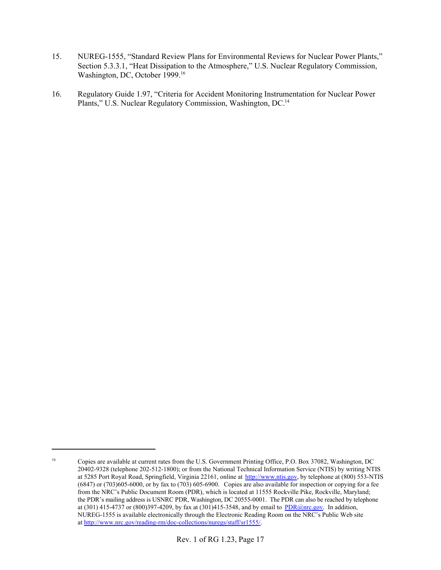- 15. NUREG-1555, "Standard Review Plans for Environmental Reviews for Nuclear Power Plants," Section 5.3.3.1, "Heat Dissipation to the Atmosphere," U.S. Nuclear Regulatory Commission, Washington, DC, October 1999.<sup>16</sup>
- 16. Regulatory Guide 1.97, "Criteria for Accident Monitoring Instrumentation for Nuclear Power Plants," U.S. Nuclear Regulatory Commission, Washington, DC.14

<sup>16</sup> Copies are available at current rates from the U.S. Government Printing Office, P.O. Box 37082, Washington, DC 20402-9328 (telephone 202-512-1800); or from the National Technical Information Service (NTIS) by writing NTIS at 5285 Port Royal Road, Springfield, Virginia 22161, online at http://www.ntis.gov, by telephone at (800) 553-NTIS (6847) or (703)605-6000, or by fax to (703) 605-6900. Copies are also available for inspection or copying for a fee from the NRC's Public Document Room (PDR), which is located at 11555 Rockville Pike, Rockville, Maryland; the PDR's mailing address is USNRC PDR, Washington, DC 20555-0001. The PDR can also be reached by telephone at (301) 415-4737 or (800) 397-4209, by fax at (301) 415-3548, and by email to PDR@nrc.gov. In addition, NUREG-1555 is available electronically through the Electronic Reading Room on the NRC's Public Web site at http://www.nrc.gov/reading-rm/doc-collections/nuregs/staff/sr1555/.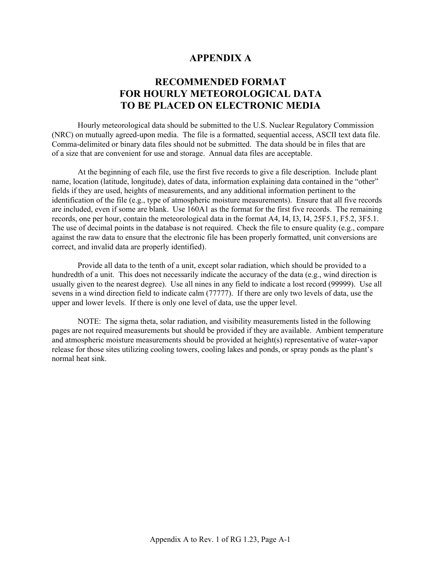# **APPENDIX A**

# **RECOMMENDED FORMAT FOR HOURLY METEOROLOGICAL DATA TO BE PLACED ON ELECTRONIC MEDIA**

Hourly meteorological data should be submitted to the U.S. Nuclear Regulatory Commission (NRC) on mutually agreed-upon media. The file is a formatted, sequential access, ASCII text data file. Comma-delimited or binary data files should not be submitted. The data should be in files that are of a size that are convenient for use and storage. Annual data files are acceptable.

At the beginning of each file, use the first five records to give a file description. Include plant name, location (latitude, longitude), dates of data, information explaining data contained in the "other" fields if they are used, heights of measurements, and any additional information pertinent to the identification of the file (e.g., type of atmospheric moisture measurements). Ensure that all five records are included, even if some are blank. Use 160A1 as the format for the first five records. The remaining records, one per hour, contain the meteorological data in the format A4, I4, I3, I4, 25F5.1, F5.2, 3F5.1. The use of decimal points in the database is not required. Check the file to ensure quality (e.g., compare against the raw data to ensure that the electronic file has been properly formatted, unit conversions are correct, and invalid data are properly identified).

Provide all data to the tenth of a unit, except solar radiation, which should be provided to a hundredth of a unit. This does not necessarily indicate the accuracy of the data (e.g., wind direction is usually given to the nearest degree). Use all nines in any field to indicate a lost record (99999). Use all sevens in a wind direction field to indicate calm (77777). If there are only two levels of data, use the upper and lower levels. If there is only one level of data, use the upper level.

NOTE: The sigma theta, solar radiation, and visibility measurements listed in the following pages are not required measurements but should be provided if they are available. Ambient temperature and atmospheric moisture measurements should be provided at height(s) representative of water-vapor release for those sites utilizing cooling towers, cooling lakes and ponds, or spray ponds as the plant's normal heat sink.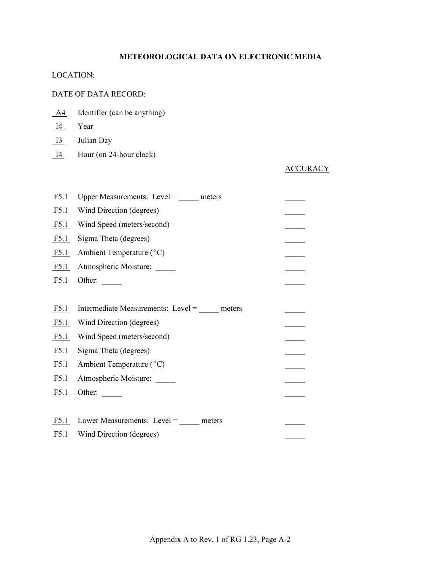## **METEOROLOGICAL DATA ON ELECTRONIC MEDIA**

#### LOCATION:

#### DATE OF DATA RECORD:

- A4 Identifier (can be anything)
- I4 Year
- I3 Julian Day
- I4 Hour (on 24-hour clock)

## **ACCURACY**

| Upper Measurements: Level = $\_\_$ meters |  |
|-------------------------------------------|--|
| Wind Direction (degrees)                  |  |
| Wind Speed (meters/second)                |  |
| Sigma Theta (degrees)                     |  |
| Ambient Temperature (°C)                  |  |
| Atmospheric Moisture:                     |  |
| Other: $\_\_$                             |  |
|                                           |  |
| Intermediate Measurements: Level = meters |  |
| Wind Direction (degrees)<br>F5.1          |  |
| Wind Speed (meters/second)                |  |
| Sigma Theta (degrees)                     |  |
| Ambient Temperature (°C)                  |  |
| Atmospheric Moisture:                     |  |
| Other: $\_\_$                             |  |
|                                           |  |
| Lower Measurements: Level = _____ meters  |  |
| Wind Direction (degrees)<br>F5.1          |  |
|                                           |  |